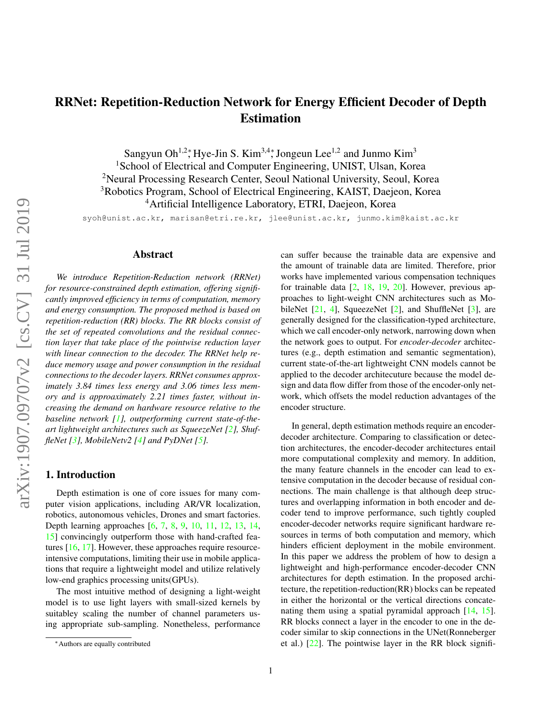# <span id="page-0-0"></span>RRNet: Repetition-Reduction Network for Energy Efficient Decoder of Depth Estimation

Sangyun Oh<sup>1,2</sup><sup>\*</sup>, Hye-Jin S. Kim<sup>3,4\*</sup>, Jongeun Lee<sup>1,2</sup> and Junmo Kim<sup>3</sup>

<sup>1</sup>School of Electrical and Computer Engineering, UNIST, Ulsan, Korea

<sup>2</sup>Neural Processing Research Center, Seoul National University, Seoul, Korea

<sup>3</sup>Robotics Program, School of Electrical Engineering, KAIST, Daejeon, Korea

<sup>4</sup>Artificial Intelligence Laboratory, ETRI, Daejeon, Korea

syoh@unist.ac.kr, marisan@etri.re.kr, jlee@unist.ac.kr, junmo.kim@kaist.ac.kr

## Abstract

*We introduce Repetition-Reduction network (RRNet) for resource-constrained depth estimation, offering significantly improved efficiency in terms of computation, memory and energy consumption. The proposed method is based on repetition-reduction (RR) blocks. The RR blocks consist of the set of repeated convolutions and the residual connection layer that take place of the pointwise reduction layer with linear connection to the decoder. The RRNet help reduce memory usage and power consumption in the residual connections to the decoder layers. RRNet consumes approximately 3.84 times less energy and 3.06 times less memory and is approaximately 2.21 times faster, without increasing the demand on hardware resource relative to the baseline network [\[1\]](#page-7-0), outperforming current state-of-theart lightweight architectures such as SqueezeNet [\[2\]](#page-7-1), ShuffleNet [\[3\]](#page-7-2), MobileNetv2 [\[4\]](#page-7-3) and PyDNet [\[5\]](#page-7-4).*

## 1. Introduction

Depth estimation is one of core issues for many computer vision applications, including AR/VR localization, robotics, autonomous vehicles, Drones and smart factories. Depth learning approaches [\[6,](#page-7-5) [7,](#page-7-6) [8,](#page-7-7) [9,](#page-7-8) [10,](#page-8-0) [11,](#page-8-1) [12,](#page-8-2) [13,](#page-8-3) [14,](#page-8-4) [15\]](#page-8-5) convincingly outperform those with hand-crafted features [\[16,](#page-8-6) [17\]](#page-8-7). However, these approaches require resourceintensive computations, limiting their use in mobile applications that require a lightweight model and utilize relatively low-end graphics processing units(GPUs).

The most intuitive method of designing a light-weight model is to use light layers with small-sized kernels by suitabley scaling the number of channel parameters using appropriate sub-sampling. Nonetheless, performance can suffer because the trainable data are expensive and the amount of trainable data are limited. Therefore, prior works have implemented various compensation techniques for trainable data [\[2,](#page-7-1) [18,](#page-8-8) [19,](#page-8-9) [20\]](#page-8-10). However, previous approaches to light-weight CNN architectures such as MobileNet  $[21, 4]$  $[21, 4]$  $[21, 4]$ , SqueezeNet  $[2]$ , and ShuffleNet  $[3]$ , are generally designed for the classification-typed architecture, which we call encoder-only network, narrowing down when the network goes to output. For *encoder-decoder* architectures (e.g., depth estimation and semantic segmentation), current state-of-the-art lightweight CNN models cannot be applied to the decoder architecuture because the model design and data flow differ from those of the encoder-only network, which offsets the model reduction advantages of the encoder structure.

In general, depth estimation methods require an encoderdecoder architecture. Comparing to classification or detection architectures, the encoder-decoder architectures entail more computational complexity and memory. In addition, the many feature channels in the encoder can lead to extensive computation in the decoder because of residual connections. The main challenge is that although deep structures and overlapping information in both encoder and decoder tend to improve performance, such tightly coupled encoder-decoder networks require significant hardware resources in terms of both computation and memory, which hinders efficient deployment in the mobile environment. In this paper we address the problem of how to design a lightweight and high-performance encoder-decoder CNN architectures for depth estimation. In the proposed architecture, the repetition-reduction(RR) blocks can be repeated in either the horizontal or the vertical directions concatenating them using a spatial pyramidal approach [\[14,](#page-8-4) [15\]](#page-8-5). RR blocks connect a layer in the encoder to one in the decoder similar to skip connections in the UNet(Ronneberger et al.)  $[22]$ . The pointwise layer in the RR block signifi-

<sup>∗</sup>Authors are equally contributed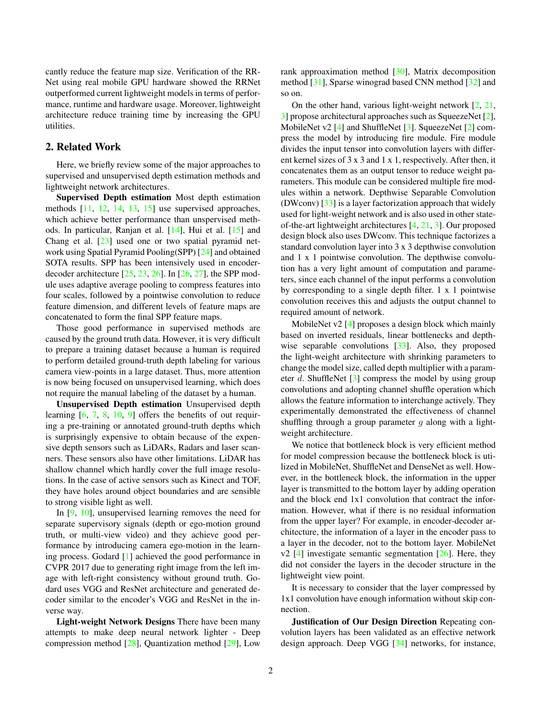<span id="page-1-0"></span>cantly reduce the feature map size. Verification of the RR-Net using real mobile GPU hardware showed the RRNet outperformed current lightweight models in terms of performance, runtime and hardware usage. Moreover, lightweight architecture reduce training time by increasing the GPU utilities.

## 2. Related Work

Here, we briefly review some of the major approaches to supervised and unsupervised depth estimation methods and lightweight network architectures.

Supervised Depth estimation Most depth estimation methods [\[11,](#page-8-1) [12,](#page-8-2) [14,](#page-8-4) [13,](#page-8-3) [15\]](#page-8-5) use supervised approaches, which achieve better performance than unspervised methods. In particular, Ranjan et al. [\[14\]](#page-8-4), Hui et al. [\[15\]](#page-8-5) and Chang et al. [\[23\]](#page-8-13) used one or two spatial pyramid network using Spatial Pyramid Pooling(SPP) [\[24\]](#page-8-14) and obtained SOTA results. SPP has been intensively used in encoderdecoder architecture [\[25,](#page-8-15) [23,](#page-8-13) [26\]](#page-8-16). In [\[26,](#page-8-16) [27\]](#page-8-17), the SPP module uses adaptive average pooling to compress features into four scales, followed by a pointwise convolution to reduce feature dimension, and different levels of feature maps are concatenated to form the final SPP feature maps.

Those good performance in supervised methods are caused by the ground truth data. However, it is very difficult to prepare a training dataset because a human is required to perform detailed ground-truth depth labeling for various camera view-points in a large dataset. Thus, more attention is now being focused on unsupervised learning, which does not require the manual labeling of the dataset by a human.

Unsupervised Depth estimation Unsupervised depth learning [\[6,](#page-7-5) [7,](#page-7-6) [8,](#page-7-7) [10,](#page-8-0) [9\]](#page-7-8) offers the benefits of out requiring a pre-training or annotated ground-truth depths which is surprisingly expensive to obtain because of the expensive depth sensors such as LiDARs, Radars and laser scanners. These sensors also have other limitations. LiDAR has shallow channel which hardly cover the full image resolutions. In the case of active sensors such as Kinect and TOF, they have holes around object boundaries and are sensible to strong visible light as well.

In [\[9,](#page-7-8) [10\]](#page-8-0), unsupervised learning removes the need for separate supervisory signals (depth or ego-motion ground truth, or multi-view video) and they achieve good performance by introducing camera ego-motion in the learning process. Godard [\[1\]](#page-7-0) achieved the good performance in CVPR 2017 due to generating right image from the left image with left-right consistency without ground truth. Godard uses VGG and ResNet architecture and generated decoder similar to the encoder's VGG and ResNet in the inverse way.

Light-weight Network Designs There have been many attempts to make deep neural network lighter - Deep compression method [\[28\]](#page-8-18), Quantization method [\[29\]](#page-8-19), Low rank approaximation method [\[30\]](#page-8-20), Matrix decomposition method [\[31\]](#page-9-0), Sparse winograd based CNN method [\[32\]](#page-9-1) and so on.

On the other hand, various light-weight network  $[2, 21, 1]$  $[2, 21, 1]$  $[2, 21, 1]$  $[2, 21, 1]$ [3\]](#page-7-2) propose architectural approaches such as SqueezeNet [\[2\]](#page-7-1), MobileNet v2 [\[4\]](#page-7-3) and ShuffleNet [\[3\]](#page-7-2). SqueezeNet [\[2\]](#page-7-1) compress the model by introducing fire module. Fire module divides the input tensor into convolution layers with different kernel sizes of 3 x 3 and 1 x 1, respectively. After then, it concatenates them as an output tensor to reduce weight parameters. This module can be considered multiple fire modules within a network. Depthwise Separable Convolution (DWconv) [\[33\]](#page-9-2) is a layer factorization approach that widely used for light-weight network and is also used in other stateof-the-art lightweight architectures [\[4,](#page-7-3) [21,](#page-8-11) [3\]](#page-7-2). Our proposed design block also uses DWconv. This technique factorizes a standard convolution layer into 3 x 3 depthwise convolution and 1 x 1 pointwise convolution. The depthwise convolution has a very light amount of computation and parameters, since each channel of the input performs a convolution by corresponding to a single depth filter. 1 x 1 pointwise convolution receives this and adjusts the output channel to required amount of network.

MobileNet v2 [\[4\]](#page-7-3) proposes a design block which mainly based on inverted residuals, linear bottlenecks and depth-wise separable convolutions [\[33\]](#page-9-2). Also, they proposed the light-weight architecture with shrinking parameters to change the model size, called depth multiplier with a parameter d. ShuffleNet  $\lceil 3 \rceil$  compress the model by using group convolutions and adopting channel shuffle operation which allows the feature information to interchange actively. They experimentally demonstrated the effectiveness of channel shuffling through a group parameter q along with a lightweight architecture.

We notice that bottleneck block is very efficient method for model compression because the bottleneck block is utilized in MobileNet, ShuffleNet and DenseNet as well. However, in the bottleneck block, the information in the upper layer is transmitted to the bottom layer by adding operation and the block end 1x1 convolution that contract the information. However, what if there is no residual information from the upper layer? For example, in encoder-decoder architecture, the information of a layer in the encoder pass to a layer in the decoder, not to the bottom layer. MobileNet  $v2$  [\[4\]](#page-7-3) investigate semantic segmentation [\[26\]](#page-8-16). Here, they did not consider the layers in the decoder structure in the lightweight view point.

It is necessary to consider that the layer compressed by 1x1 convolution have enough information without skip connection.

Justification of Our Design Direction Repeating convolution layers has been validated as an effective network design approach. Deep VGG [\[34\]](#page-9-3) networks, for instance,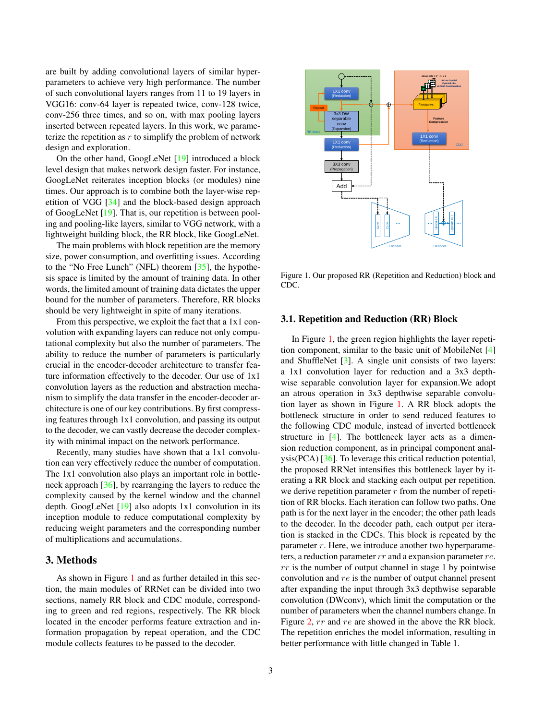<span id="page-2-1"></span>are built by adding convolutional layers of similar hyperparameters to achieve very high performance. The number of such convolutional layers ranges from 11 to 19 layers in VGG16: conv-64 layer is repeated twice, conv-128 twice, conv-256 three times, and so on, with max pooling layers inserted between repeated layers. In this work, we parameterize the repetition as  $r$  to simplify the problem of network design and exploration.

On the other hand, GoogLeNet [\[19\]](#page-8-9) introduced a block level design that makes network design faster. For instance, GoogLeNet reiterates inception blocks (or modules) nine times. Our approach is to combine both the layer-wise repetition of VGG [\[34\]](#page-9-3) and the block-based design approach of GoogLeNet [\[19\]](#page-8-9). That is, our repetition is between pooling and pooling-like layers, similar to VGG network, with a lightweight building block, the RR block, like GoogLeNet.

The main problems with block repetition are the memory size, power consumption, and overfitting issues. According to the "No Free Lunch" (NFL) theorem [\[35\]](#page-9-4), the hypothesis space is limited by the amount of training data. In other words, the limited amount of training data dictates the upper bound for the number of parameters. Therefore, RR blocks should be very lightweight in spite of many iterations.

From this perspective, we exploit the fact that a 1x1 convolution with expanding layers can reduce not only computational complexity but also the number of parameters. The ability to reduce the number of parameters is particularly crucial in the encoder-decoder architecture to transfer feature information effectively to the decoder. Our use of 1x1 convolution layers as the reduction and abstraction mechanism to simplify the data transfer in the encoder-decoder architecture is one of our key contributions. By first compressing features through 1x1 convolution, and passing its output to the decoder, we can vastly decrease the decoder complexity with minimal impact on the network performance.

Recently, many studies have shown that a 1x1 convolution can very effectively reduce the number of computation. The 1x1 convolution also plays an important role in bottleneck approach [\[36\]](#page-9-5), by rearranging the layers to reduce the complexity caused by the kernel window and the channel depth. GoogLeNet [\[19\]](#page-8-9) also adopts 1x1 convolution in its inception module to reduce computational complexity by reducing weight parameters and the corresponding number of multiplications and accumulations.

## 3. Methods

As shown in Figure [1](#page-2-0) and as further detailed in this section, the main modules of RRNet can be divided into two sections, namely RR block and CDC module, corresponding to green and red regions, respectively. The RR block located in the encoder performs feature extraction and information propagation by repeat operation, and the CDC module collects features to be passed to the decoder.



<span id="page-2-0"></span>Figure 1. Our proposed RR (Repetition and Reduction) block and CDC.

## 3.1. Repetition and Reduction (RR) Block

In Figure [1,](#page-2-0) the green region highlights the layer repetition component, similar to the basic unit of MobileNet [\[4\]](#page-7-3) and ShuffleNet  $[3]$ . A single unit consists of two layers: a 1x1 convolution layer for reduction and a 3x3 depthwise separable convolution layer for expansion.We adopt an atrous operation in 3x3 depthwise separable convolution layer as shown in Figure [1.](#page-2-0) A RR block adopts the bottleneck structure in order to send reduced features to the following CDC module, instead of inverted bottleneck structure in [\[4\]](#page-7-3). The bottleneck layer acts as a dimension reduction component, as in principal component analysis(PCA) [\[36\]](#page-9-5). To leverage this critical reduction potential, the proposed RRNet intensifies this bottleneck layer by iterating a RR block and stacking each output per repetition. we derive repetition parameter  $r$  from the number of repetition of RR blocks. Each iteration can follow two paths. One path is for the next layer in the encoder; the other path leads to the decoder. In the decoder path, each output per iteration is stacked in the CDCs. This block is repeated by the parameter r. Here, we introduce another two hyperparameters, a reduction parameter  $rr$  and a expansion parameter  $re$ .  $rr$  is the number of output channel in stage 1 by pointwise convolution and re is the number of output channel present after expanding the input through 3x3 depthwise separable convolution (DWconv), which limit the computation or the number of parameters when the channel numbers change. In Figure [2,](#page-5-0)  $rr$  and  $re$  are showed in the above the RR block. The repetition enriches the model information, resulting in better performance with little changed in Table 1.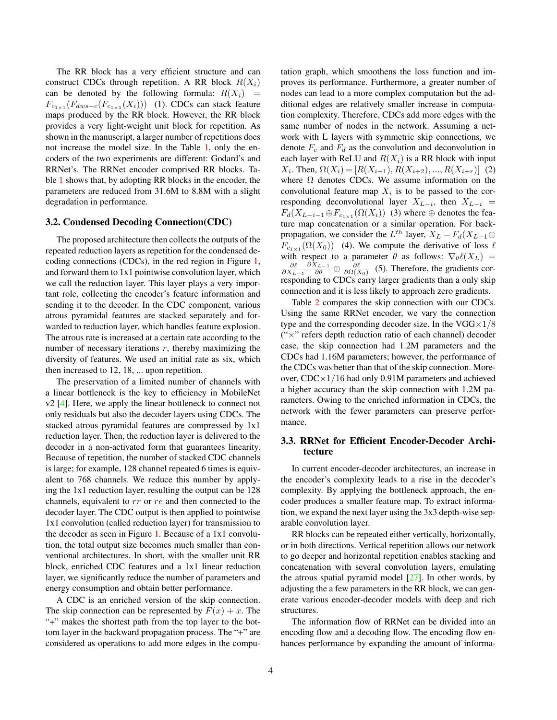<span id="page-3-0"></span>The RR block has a very efficient structure and can construct CDCs through repetition. A RR block  $R(X_i)$ can be denoted by the following formula:  $R(X_i)$  =  $F_{c_{1\times1}}(F_{dws-c}(F_{c_{1\times1}}(X_i)))$  (1). CDCs can stack feature maps produced by the RR block. However, the RR block provides a very light-weight unit block for repetition. As shown in the manuscript, a larger number of repetitions does not increase the model size. In the Table [1,](#page-4-0) only the encoders of the two experiments are different: Godard's and RRNet's. The RRNet encoder comprised RR blocks. Table [1](#page-4-0) shows that, by adopting RR blocks in the encoder, the parameters are reduced from 31.6M to 8.8M with a slight degradation in performance.

#### 3.2. Condensed Decoding Connection(CDC)

The proposed architecture then collects the outputs of the repeated reduction layers as repetition for the condensed decoding connections (CDCs), in the red region in Figure [1,](#page-2-0) and forward them to 1x1 pointwise convolution layer, which we call the reduction layer. This layer plays a very important role, collecting the encoder's feature information and sending it to the decoder. In the CDC component, various atrous pyramidal features are stacked separately and forwarded to reduction layer, which handles feature explosion. The atrous rate is increased at a certain rate according to the number of necessary iterations  $r$ , thereby maximizing the diversity of features. We used an initial rate as six, which then increased to 12, 18, ... upon repetition.

The preservation of a limited number of channels with a linear bottleneck is the key to efficiency in MobileNet v2 [\[4\]](#page-7-3). Here, we apply the linear bottleneck to connect not only residuals but also the decoder layers using CDCs. The stacked atrous pyramidal features are compressed by 1x1 reduction layer. Then, the reduction layer is delivered to the decoder in a non-activated form that guarantees linearity. Because of repetition, the number of stacked CDC channels is large; for example, 128 channel repeated 6 times is equivalent to 768 channels. We reduce this number by applying the 1x1 reduction layer, resulting the output can be 128 channels, equivalent to rr or re and then connected to the decoder layer. The CDC output is then applied to pointwise 1x1 convolution (called reduction layer) for transmission to the decoder as seen in Figure [1.](#page-2-0) Because of a 1x1 convolution, the total output size becomes much smaller than conventional architectures. In short, with the smaller unit RR block, enriched CDC features and a 1x1 linear reduction layer, we significantly reduce the number of parameters and energy consumption and obtain better performance.

A CDC is an enriched version of the skip connection. The skip connection can be represented by  $F(x) + x$ . The "+" makes the shortest path from the top layer to the bottom layer in the backward propagation process. The "+" are considered as operations to add more edges in the computation graph, which smoothens the loss function and improves its performance. Furthermore, a greater number of nodes can lead to a more complex computation but the additional edges are relatively smaller increase in computation complexity. Therefore, CDCs add more edges with the same number of nodes in the network. Assuming a network with L layers with symmetric skip connections, we denote  $F_c$  and  $F_d$  as the convolution and deconvolution in each layer with ReLU and  $R(X_i)$  is a RR block with input  $X_i$ . Then,  $\Omega(X_i) = [R(X_{i+1}), R(X_{i+2}), ..., R(X_{i+r})]$  (2) where  $\Omega$  denotes CDCs. We assume information on the convolutional feature map  $X_i$  is to be passed to the corresponding deconvolutional layer  $X_{L-i}$ , then  $X_{L-i}$  =  $F_d(X_{L-i-1}\oplus F_{c_1\times 1}(\Omega(X_i))$  (3) where  $\oplus$  denotes the feature map concatenation or a similar operation. For backpropagation, we consider the  $L^{th}$  layer,  $X_L = F_d(X_{L-1} \oplus$  $F_{c_1 \times 1}(\Omega(X_0))$  (4). We compute the derivative of loss  $\ell$ with respect to a parameter  $\theta$  as follows:  $\nabla_{\theta} \ell(X_L)$  =  $\frac{\partial \ell}{\partial X_{L-1}}$  $\frac{\partial X_{L-1}}{\partial \theta} \oplus \frac{\partial \ell}{\partial \Omega(X_0)}$  (5). Therefore, the gradients corresponding to CDCs carry larger gradients than a only skip connection and it is less likely to approach zero gradients.

Table [2](#page-4-1) compares the skip connection with our CDCs. Using the same RRNet encoder, we vary the connection type and the corresponding decoder size. In the  $VGG \times 1/8$ ("×" refers depth reduction ratio of each channel) decoder case, the skip connection had 1.2M parameters and the CDCs had 1.16M parameters; however, the performance of the CDCs was better than that of the skip connection. Moreover,  $CDC \times 1/16$  had only 0.91M parameters and achieved a higher accuracy than the skip connection with 1.2M parameters. Owing to the enriched information in CDCs, the network with the fewer parameters can preserve performance.

## 3.3. RRNet for Efficient Encoder-Decoder Architecture

In current encoder-decoder architectures, an increase in the encoder's complexity leads to a rise in the decoder's complexity. By applying the bottleneck approach, the encoder produces a smaller feature map. To extract information, we expand the next layer using the 3x3 depth-wise separable convolution layer.

RR blocks can be repeated either vertically, horizontally, or in both directions. Vertical repetition allows our network to go deeper and horizontal repetition enables stacking and concatenation with several convolution layers, emulating the atrous spatial pyramid model  $[27]$ . In other words, by adjusting the a few parameters in the RR block, we can generate various encoder-decoder models with deep and rich structures.

The information flow of RRNet can be divided into an encoding flow and a decoding flow. The encoding flow enhances performance by expanding the amount of informa-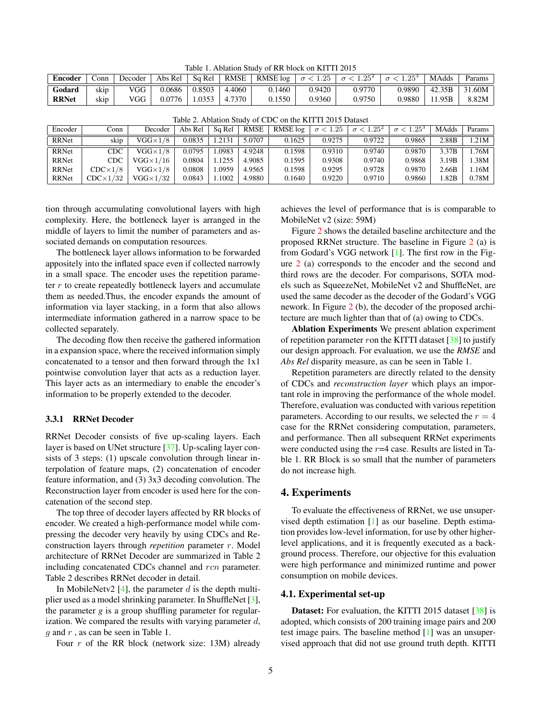<span id="page-4-0"></span>Table 1. Ablation Study of RR block on KITTI 2015

<span id="page-4-2"></span>

| <b>Encoder</b> | Conn | Decoder | Abs Rel | Sa Rel | RMSE   | $RMSE$ $log$ | $\sigma < 1.25$ | $\sigma < 1.25^2$ | . $\sigma < 1.25^{\circ}$ | MAdds  | Params |
|----------------|------|---------|---------|--------|--------|--------------|-----------------|-------------------|---------------------------|--------|--------|
| Godard         | skip | VGG     | 0.0686  | 0.8503 | 4.4060 | 0.1460       | 0.9420          | 0.9770            | 0.9890                    | 42.35B | 31.60M |
| <b>RRNet</b>   | skip | VGG     | 0.0776  | .0353  | 4.7370 | 0.1550       | 0.9360          | 0.9750            | 0.9880                    | 11.95B | 8.82M  |

| $14010 - 11014010$ |                   |                       |         |        |        |          |                 |                   |                                  |       |        |  |
|--------------------|-------------------|-----------------------|---------|--------|--------|----------|-----------------|-------------------|----------------------------------|-------|--------|--|
| Encoder            | Conn              | Decoder               | Abs Rel | Sq Rel | RMSE   | RMSE log | $\sigma < 1.25$ | $\sigma < 1.25^2$ | .25 <sup>3</sup><br>$\sigma < 1$ | MAdds | Params |  |
| RRNet              | skip              | $\rm{VGG}{\times}1/8$ | 0.0835  | .2131  | 5.0707 | 0.1625   | 0.9275          | 0.9722            | 0.9865                           | 2.88B | 1.21M  |  |
| <b>RRNet</b>       | CDC               | $VGG\times1/8$        | 0.0795  | .0983  | 4.9248 | 0.1598   | 0.9310          | 0.9740            | 0.9870                           | 3.37B | .76M   |  |
| <b>RRNet</b>       | CDC               | $VGG \times 1/16$     | 0.0804  | .1255  | 4.9085 | 0.1595   | 0.9308          | 0.9740            | 0.9868                           | 3.19B | .38M   |  |
| <b>RRNet</b>       | $CDC \times 1/8$  | $VGG\times1/8$        | 0.0808  | .0959  | 4.9565 | 0.1598   | 0.9295          | 0.9728            | 0.9870                           | 2.66B | .16M   |  |
| <b>RRNet</b>       | $CDC \times 1/32$ | $VGG \times 1/32$     | 0.0843  | .1002  | 4.9880 | 0.1640   | 0.9220          | 0.9710            | 0.9860                           | .82B  | 0.78M  |  |

<span id="page-4-1"></span>Table 2. Ablation Study of CDC on the KITTI 2015 Dataset

tion through accumulating convolutional layers with high complexity. Here, the bottleneck layer is arranged in the middle of layers to limit the number of parameters and associated demands on computation resources.

The bottleneck layer allows information to be forwarded appositely into the inflated space even if collected narrowly in a small space. The encoder uses the repetition parameter  $r$  to create repeatedly bottleneck layers and accumulate them as needed.Thus, the encoder expands the amount of information via layer stacking, in a form that also allows intermediate information gathered in a narrow space to be collected separately.

The decoding flow then receive the gathered information in a expansion space, where the received information simply concatenated to a tensor and then forward through the 1x1 pointwise convolution layer that acts as a reduction layer. This layer acts as an intermediary to enable the encoder's information to be properly extended to the decoder.

#### 3.3.1 RRNet Decoder

RRNet Decoder consists of five up-scaling layers. Each layer is based on UNet structure [\[37\]](#page-9-6). Up-scaling layer consists of 3 steps: (1) upscale convolution through linear interpolation of feature maps, (2) concatenation of encoder feature information, and (3) 3x3 decoding convolution. The Reconstruction layer from encoder is used here for the concatenation of the second step.

The top three of decoder layers affected by RR blocks of encoder. We created a high-performance model while compressing the decoder very heavily by using CDCs and Reconstruction layers through *repetition* parameter r. Model architecture of RRNet Decoder are summarized in Table 2 including concatenated CDCs channel and rcn parameter. Table 2 describes RRNet decoder in detail.

In MobileNetv2  $[4]$ , the parameter d is the depth multiplier used as a model shrinking parameter. In ShuffleNet [\[3\]](#page-7-2), the parameter *g* is a group shuffling parameter for regularization. We compared the results with varying parameter  $d$ , q and  $r$ , as can be seen in Table 1.

Four  $r$  of the RR block (network size: 13M) already

achieves the level of performance that is is comparable to MobileNet v2 (size: 59M)

Figure [2](#page-5-0) shows the detailed baseline architecture and the proposed RRNet structure. The baseline in Figure [2](#page-5-0) (a) is from Godard's VGG network [\[1\]](#page-7-0). The first row in the Figure [2](#page-5-0) (a) corresponds to the encoder and the second and third rows are the decoder. For comparisons, SOTA models such as SqueezeNet, MobileNet v2 and ShuffleNet, are used the same decoder as the decoder of the Godard's VGG nework. In Figure [2](#page-5-0) (b), the decoder of the proposed architecture are much lighter than that of (a) owing to CDCs.

Ablation Experiments We present ablation experiment of repetition parameter ron the KITTI dataset  $[38]$  to justify our design approach. For evaluation, we use the *RMSE* and *Abs Rel* disparity measure, as can be seen in Table 1.

Repetition parameters are directly related to the density of CDCs and *reconstruction layer* which plays an important role in improving the performance of the whole model. Therefore, evaluation was conducted with various repetition parameters. According to our results, we selected the  $r = 4$ case for the RRNet considering computation, parameters, and performance. Then all subsequent RRNet experiments were conducted using the  $r=4$  case. Results are listed in Table 1. RR Block is so small that the number of parameters do not increase high.

#### 4. Experiments

To evaluate the effectiveness of RRNet, we use unsupervised depth estimation [\[1\]](#page-7-0) as our baseline. Depth estimation provides low-level information, for use by other higherlevel applications, and it is frequently executed as a background process. Therefore, our objective for this evaluation were high performance and minimized runtime and power consumption on mobile devices.

#### 4.1. Experimental set-up

Dataset: For evaluation, the KITTI 2015 dataset [\[38\]](#page-9-7) is adopted, which consists of 200 training image pairs and 200 test image pairs. The baseline method [\[1\]](#page-7-0) was an unsupervised approach that did not use ground truth depth. KITTI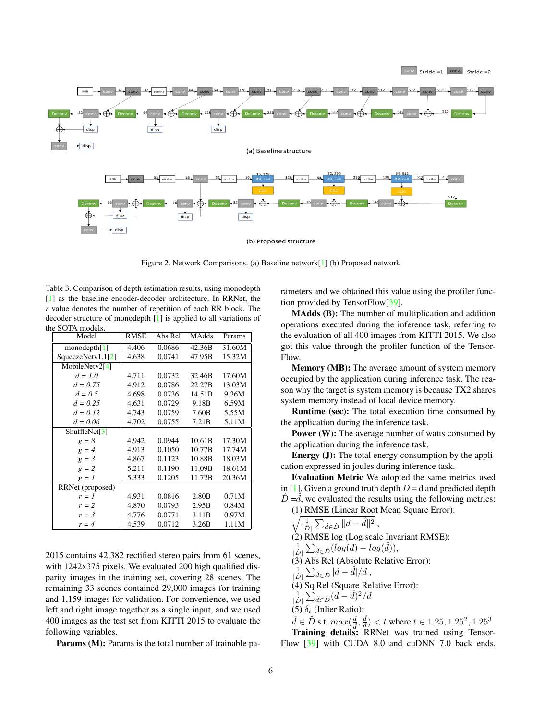<span id="page-5-1"></span>

<span id="page-5-0"></span>Figure 2. Network Comparisons. (a) Baseline network[\[1\]](#page-7-0) (b) Proposed network

Table 3. Comparison of depth estimation results, using monodepth [\[1\]](#page-7-0) as the baseline encoder-decoder architecture. In RRNet, the *r* value denotes the number of repetition of each RR block. The decoder structure of monodepth [\[1\]](#page-7-0) is applied to all variations of the SOTA models.

| Model             | <b>RMSE</b> | Abs Rel | <b>MAdds</b>      | Params |
|-------------------|-------------|---------|-------------------|--------|
| monodepth[1]      | 4.406       | 0.0686  | 42.36B            | 31.60M |
| SqueezeNetv1.1[2] | 4.638       | 0.0741  | 47.95B            | 15.32M |
| MobileNetv2[4]    |             |         |                   |        |
| $d = 1.0$         | 4.711       | 0.0732  | 32.46B            | 17.60M |
| $d = 0.75$        | 4.912       | 0.0786  | 22.27B            | 13.03M |
| $d = 0.5$         | 4.698       | 0.0736  | 14.51B            | 9.36M  |
| $d = 0.25$        | 4.631       | 0.0729  | 9.18B             | 6.59M  |
| $d = 0.12$        | 4.743       | 0.0759  | 7.60B             | 5.55M  |
| $d = 0.06$        | 4.702       | 0.0755  | 7.21B             | 5.11M  |
| ShuffleNet[ $3$ ] |             |         |                   |        |
| $g = 8$           | 4.942       | 0.0944  | 10.61B            | 17.30M |
| $g = 4$           | 4.913       | 0.1050  | 10.77B            | 17.74M |
| $g = 3$           | 4.867       | 0.1123  | 10.88B            | 18.03M |
| $g = 2$           | 5.211       | 0.1190  | 11.09B            | 18.61M |
| $g = I$           | 5.333       | 0.1205  | 11.72B            | 20.36M |
| RRNet (proposed)  |             |         |                   |        |
| $r = 1$           | 4.931       | 0.0816  | 2.80 <sub>B</sub> | 0.71M  |
| $r=2$             | 4.870       | 0.0793  | 2.95B             | 0.84M  |
| $r = 3$           | 4.776       | 0.0771  | 3.11B             | 0.97M  |
| $r = 4$           | 4.539       | 0.0712  | 3.26B             | 1.11M  |

2015 contains 42,382 rectified stereo pairs from 61 scenes, with 1242x375 pixels. We evaluated 200 high qualified disparity images in the training set, covering 28 scenes. The remaining 33 scenes contained 29,000 images for training and 1,159 images for validation. For convenience, we used left and right image together as a single input, and we used 400 images as the test set from KITTI 2015 to evaluate the following variables.

Params (M): Params is the total number of trainable pa-

rameters and we obtained this value using the profiler function provided by TensorFlow[\[39\]](#page-9-8).

MAdds (B): The number of multiplication and addition operations executed during the inference task, referring to the evaluation of all 400 images from KITTI 2015. We also got this value through the profiler function of the Tensor-Flow.

Memory (MB): The average amount of system memory occupied by the application during inference task. The reason why the target is system memory is because TX2 shares system memory instead of local device memory.

Runtime (sec): The total execution time consumed by the application during the inference task.

Power (W): The average number of watts consumed by the application during the inference task.

Energy (J): The total energy consumption by the application expressed in joules during inference task.

Evaluation Metric We adopted the same metrics used in [\[1\]](#page-7-0). Given a ground truth depth  $D = d$  and predicted depth  $\hat{D} = d$ , we evaluated the results using the following metrics:

(1) RMSE (Linear Root Mean Square Error):  $\sqrt{\frac{1}{|\hat{D}|}\sum_{\hat{d}\in\hat{D}}\|d-\hat{d}\|^2}$ , (2) RMSE log (Log scale Invariant RMSE):  $\frac{1}{|\hat{D}|}\sum_{\hat{d}\in \hat{D}}(log(d) - log(\hat{d})),$  $(3)$  Abs Rel (Absolute Relative Error):  $\frac{1}{|\hat{D}|}\sum_{\hat{d}\in\hat{D}}|d-\hat{d}|/d$  , (4) Sq Rel (Square Relative Error):  $\frac{1}{|\hat{D}|}\sum_{\hat{d}\in\hat{D}}(d-\hat{d})^2/d$  $\int_{0}^{\infty}$  (5)  $\delta_t$  (Inlier Ratio):  $\hat{d} \in \hat{D}$  s.t.  $max(\frac{d}{d}, \frac{\hat{d}}{d}) < t$  where  $t \in 1.25, 1.25^2, 1.25^3$ 

Training details: RRNet was trained using Tensor-Flow [\[39\]](#page-9-8) with CUDA 8.0 and cuDNN 7.0 back ends.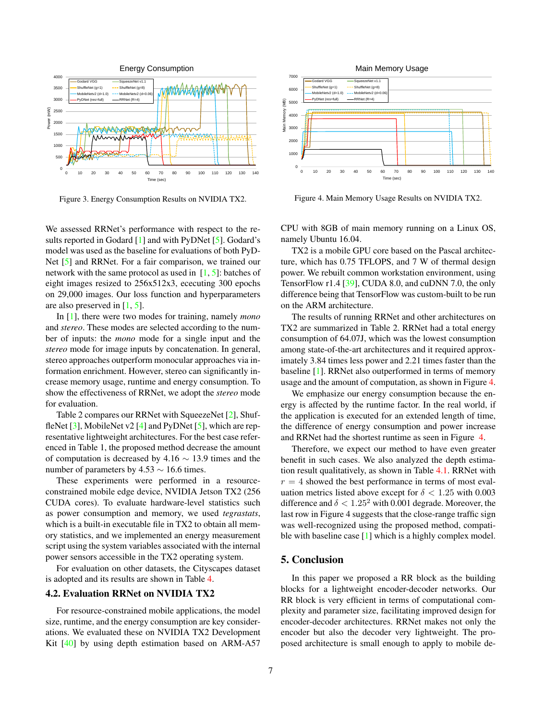<span id="page-6-1"></span>

Figure 3. Energy Consumption Results on NVIDIA TX2.

We assessed RRNet's performance with respect to the results reported in Godard [\[1\]](#page-7-0) and with PyDNet [\[5\]](#page-7-4). Godard's model was used as the baseline for evaluations of both PyD-Net [\[5\]](#page-7-4) and RRNet. For a fair comparison, we trained our network with the same protocol as used in  $[1, 5]$  $[1, 5]$  $[1, 5]$ : batches of eight images resized to 256x512x3, ececuting 300 epochs on 29,000 images. Our loss function and hyperparameters are also preserved in [\[1,](#page-7-0) [5\]](#page-7-4).

In [\[1\]](#page-7-0), there were two modes for training, namely *mono* and *stereo*. These modes are selected according to the number of inputs: the *mono* mode for a single input and the *stereo* mode for image inputs by concatenation. In general, stereo approaches outperform monocular approaches via information enrichment. However, stereo can significantly increase memory usage, runtime and energy consumption. To show the effectiveness of RRNet, we adopt the *stereo* mode for evaluation.

Table 2 compares our RRNet with SqueezeNet [\[2\]](#page-7-1), ShuffleNet  $[3]$ , MobileNet v2  $[4]$  and PyDNet  $[5]$ , which are representative lightweight architectures. For the best case referenced in Table 1, the proposed method decrease the amount of computation is decreased by 4.16  $\sim$  13.9 times and the number of parameters by  $4.53 \sim 16.6$  times.

These experiments were performed in a resourceconstrained mobile edge device, NVIDIA Jetson TX2 (256 CUDA cores). To evaluate hardware-level statistics such as power consumption and memory, we used *tegrastats*, which is a built-in executable file in TX2 to obtain all memory statistics, and we implemented an energy measurement script using the system variables associated with the internal power sensors accessible in the TX2 operating system.

For evaluation on other datasets, the Cityscapes dataset is adopted and its results are shown in Table [4.](#page-7-9)

#### 4.2. Evaluation RRNet on NVIDIA TX2

For resource-constrained mobile applications, the model size, runtime, and the energy consumption are key considerations. We evaluated these on NVIDIA TX2 Development Kit [\[40\]](#page-9-9) by using depth estimation based on ARM-A57



<span id="page-6-0"></span>Figure 4. Main Memory Usage Results on NVIDIA TX2.

CPU with 8GB of main memory running on a Linux OS, namely Ubuntu 16.04.

TX2 is a mobile GPU core based on the Pascal architecture, which has 0.75 TFLOPS, and 7 W of thermal design power. We rebuilt common workstation environment, using TensorFlow r1.4 [\[39\]](#page-9-8), CUDA 8.0, and cuDNN 7.0, the only difference being that TensorFlow was custom-built to be run on the ARM architecture.

The results of running RRNet and other architectures on TX2 are summarized in Table 2. RRNet had a total energy consumption of 64.07J, which was the lowest consumption among state-of-the-art architectures and it required approximately 3.84 times less power and 2.21 times faster than the baseline [\[1\]](#page-7-0). RRNet also outperformed in terms of memory usage and the amount of computation, as shown in Figure [4.](#page-6-0)

We emphasize our energy consumption because the energy is affected by the runtime factor. In the real world, if the application is executed for an extended length of time, the difference of energy consumption and power increase and RRNet had the shortest runtime as seen in Figure [4.](#page-6-0)

Therefore, we expect our method to have even greater benefit in such cases. We also analyzed the depth estimation result qualitatively, as shown in Table [4.1.](#page-7-10) RRNet with  $r = 4$  showed the best performance in terms of most evaluation metrics listed above except for  $\delta < 1.25$  with 0.003 difference and  $\delta < 1.25^2$  with 0.001 degrade. Moreover, the last row in Figure 4 suggests that the close-range traffic sign was well-recognized using the proposed method, compati-ble with baseline case [\[1\]](#page-7-0) which is a highly complex model.

## 5. Conclusion

In this paper we proposed a RR block as the building blocks for a lightweight encoder-decoder networks. Our RR block is very efficient in terms of computational complexity and parameter size, facilitating improved design for encoder-decoder architectures. RRNet makes not only the encoder but also the decoder very lightweight. The proposed architecture is small enough to apply to mobile de-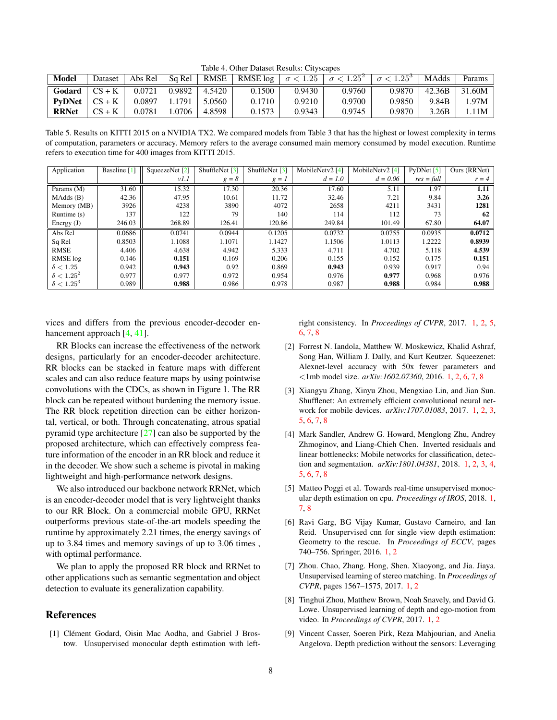<span id="page-7-9"></span>Table 4. Other Dataset Results: Cityscapes

<span id="page-7-11"></span>

| <b>Model</b>  | Dataset  | Abs Rel | Sq Rel | RMSE   | RMSE $\log  \sigma  < 1.25$ |        | $\sigma < 1.25^2$ | $\sigma < 1.25^{\circ}$ | <b>MAdds</b> | Params |
|---------------|----------|---------|--------|--------|-----------------------------|--------|-------------------|-------------------------|--------------|--------|
| Godard        | $CS + K$ | 0.0721  | 0.9892 | 4.5420 | 0.1500                      | 0.9430 | 0.9760            | 0.9870                  | 42.36B       | 31.60M |
| <b>PyDNet</b> | $CS + K$ | 0.0897  | . 1791 | 5.0560 | 0.1710                      | 0.9210 | 0.9700            | 0.9850                  | 9.84B        | .97M   |
| <b>RRNet</b>  | $CS + K$ | 0.0781  | .0706  | 4.8598 | 0.1573                      | 0.9343 | 0.9745            | 0.9870                  | 3.26B        | .11M   |

<span id="page-7-10"></span>Table 5. Results on KITTI 2015 on a NVIDIA TX2. We compared models from Table 3 that has the highest or lowest complexity in terms of computation, parameters or accuracy. Memory refers to the average consumed main memory consumed by model execution. Runtime refers to execution time for 400 images from KITTI 2015.

| Application       | Baseline [1] | SqueezeNet [2] | ShuffleNet [3] | ShuffleNet $[3]$ | MobileNetv2 [4] | MobileNetv2 [4] | PvDMet [5]   | Ours (RRNet) |
|-------------------|--------------|----------------|----------------|------------------|-----------------|-----------------|--------------|--------------|
|                   |              | v1.1           | $g = 8$        | $g = I$          | $d = 1.0$       | $d = 0.06$      | $res = full$ | $r = 4$      |
| Params (M)        | 31.60        | 15.32          | 17.30          | 20.36            | 17.60           | 5.11            | 1.97         | 1.11         |
| MAdds(B)          | 42.36        | 47.95          | 10.61          | 11.72            | 32.46           | 7.21            | 9.84         | 3.26         |
| Memory (MB)       | 3926         | 4238           | 3890           | 4072             | 2658            | 4211            | 3431         | 1281         |
| Runtime $(s)$     | 137          | 122            | 79             | 140              | 114             | 112             | 73           | 62           |
| Energy $(J)$      | 246.03       | 268.89         | 126.41         | 120.86           | 249.84          | 101.49          | 67.80        | 64.07        |
| Abs Rel           | 0.0686       | 0.0741         | 0.0944         | 0.1205           | 0.0732          | 0.0755          | 0.0935       | 0.0712       |
| Sq Rel            | 0.8503       | 1.1088         | 1.1071         | 1.1427           | 1.1506          | 1.0113          | 1.2222       | 0.8939       |
| <b>RMSE</b>       | 4.406        | 4.638          | 4.942          | 5.333            | 4.711           | 4.702           | 5.118        | 4.539        |
| RMSE log          | 0.146        | 0.151          | 0.169          | 0.206            | 0.155           | 0.152           | 0.175        | 0.151        |
| $\delta < 1.25$   | 0.942        | 0.943          | 0.92           | 0.869            | 0.943           | 0.939           | 0.917        | 0.94         |
| $\delta < 1.25^2$ | 0.977        | 0.977          | 0.972          | 0.954            | 0.976           | 0.977           | 0.968        | 0.976        |
| $\delta < 1.25^3$ | 0.989        | 0.988          | 0.986          | 0.978            | 0.987           | 0.988           | 0.984        | 0.988        |

vices and differs from the previous encoder-decoder enhancement approach [\[4,](#page-7-3) [41\]](#page-9-10).

RR Blocks can increase the effectiveness of the network designs, particularly for an encoder-decoder architecture. RR blocks can be stacked in feature maps with different scales and can also reduce feature maps by using pointwise convolutions with the CDCs, as shown in Figure 1. The RR block can be repeated without burdening the memory issue. The RR block repetition direction can be either horizontal, vertical, or both. Through concatenating, atrous spatial pyramid type architecture [\[27\]](#page-8-17) can also be supported by the proposed architecture, which can effectively compress feature information of the encoder in an RR block and reduce it in the decoder. We show such a scheme is pivotal in making lightweight and high-performance network designs.

We also introduced our backbone network RRNet, which is an encoder-decoder model that is very lightweight thanks to our RR Block. On a commercial mobile GPU, RRNet outperforms previous state-of-the-art models speeding the runtime by approximately 2.21 times, the energy savings of up to 3.84 times and memory savings of up to 3.06 times , with optimal performance.

We plan to apply the proposed RR block and RRNet to other applications such as semantic segmentation and object detection to evaluate its generalization capability.

# References

<span id="page-7-0"></span>[1] Clément Godard, Oisin Mac Aodha, and Gabriel J Brostow. Unsupervised monocular depth estimation with leftright consistency. In *Proceedings of CVPR*, 2017. [1,](#page-0-0) [2,](#page-1-0) [5,](#page-4-2) [6,](#page-5-1) [7,](#page-6-1) [8](#page-7-11)

- <span id="page-7-1"></span>[2] Forrest N. Iandola, Matthew W. Moskewicz, Khalid Ashraf, Song Han, William J. Dally, and Kurt Keutzer. Squeezenet: Alexnet-level accuracy with 50x fewer parameters and <1mb model size. *arXiv:1602.07360*, 2016. [1,](#page-0-0) [2,](#page-1-0) [6,](#page-5-1) [7,](#page-6-1) [8](#page-7-11)
- <span id="page-7-2"></span>[3] Xiangyu Zhang, Xinyu Zhou, Mengxiao Lin, and Jian Sun. Shufflenet: An extremely efficient convolutional neural network for mobile devices. *arXiv:1707.01083*, 2017. [1,](#page-0-0) [2,](#page-1-0) [3,](#page-2-1) [5,](#page-4-2) [6,](#page-5-1) [7,](#page-6-1) [8](#page-7-11)
- <span id="page-7-3"></span>[4] Mark Sandler, Andrew G. Howard, Menglong Zhu, Andrey Zhmoginov, and Liang-Chieh Chen. Inverted residuals and linear bottlenecks: Mobile networks for classification, detection and segmentation. *arXiv:1801.04381*, 2018. [1,](#page-0-0) [2,](#page-1-0) [3,](#page-2-1) [4,](#page-3-0) [5,](#page-4-2) [6,](#page-5-1) [7,](#page-6-1) [8](#page-7-11)
- <span id="page-7-4"></span>[5] Matteo Poggi et al. Towards real-time unsupervised monocular depth estimation on cpu. *Proceedings of IROS*, 2018. [1,](#page-0-0) [7,](#page-6-1) [8](#page-7-11)
- <span id="page-7-5"></span>[6] Ravi Garg, BG Vijay Kumar, Gustavo Carneiro, and Ian Reid. Unsupervised cnn for single view depth estimation: Geometry to the rescue. In *Proceedings of ECCV*, pages 740–756. Springer, 2016. [1,](#page-0-0) [2](#page-1-0)
- <span id="page-7-6"></span>[7] Zhou. Chao, Zhang. Hong, Shen. Xiaoyong, and Jia. Jiaya. Unsupervised learning of stereo matching. In *Proceedings of CVPR*, pages 1567–1575, 2017. [1,](#page-0-0) [2](#page-1-0)
- <span id="page-7-7"></span>[8] Tinghui Zhou, Matthew Brown, Noah Snavely, and David G. Lowe. Unsupervised learning of depth and ego-motion from video. In *Proceedings of CVPR*, 2017. [1,](#page-0-0) [2](#page-1-0)
- <span id="page-7-8"></span>[9] Vincent Casser, Soeren Pirk, Reza Mahjourian, and Anelia Angelova. Depth prediction without the sensors: Leveraging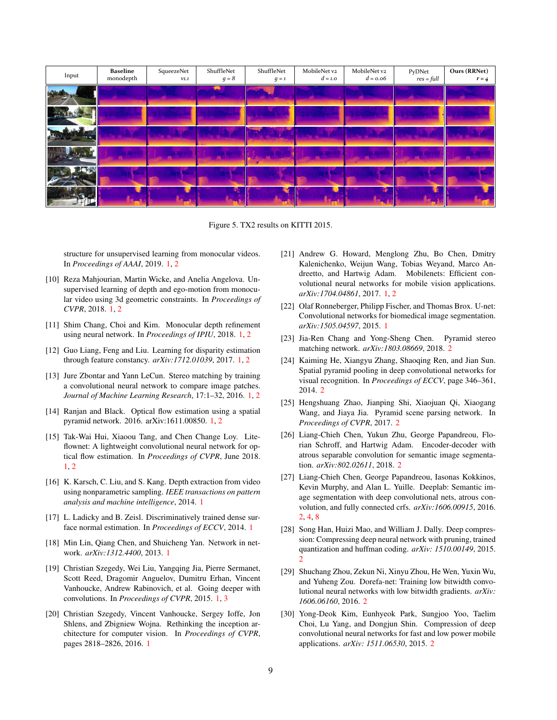

Figure 5. TX2 results on KITTI 2015.

structure for unsupervised learning from monocular videos. In *Proceedings of AAAI*, 2019. [1,](#page-0-0) [2](#page-1-0)

- <span id="page-8-0"></span>[10] Reza Mahjourian, Martin Wicke, and Anelia Angelova. Unsupervised learning of depth and ego-motion from monocular video using 3d geometric constraints. In *Proceedings of CVPR*, 2018. [1,](#page-0-0) [2](#page-1-0)
- <span id="page-8-1"></span>[11] Shim Chang, Choi and Kim. Monocular depth refinement using neural network. In *Proceedings of IPIU*, 2018. [1,](#page-0-0) [2](#page-1-0)
- <span id="page-8-2"></span>[12] Guo Liang, Feng and Liu. Learning for disparity estimation through feature constancy. *arXiv:1712.01039*, 2017. [1,](#page-0-0) [2](#page-1-0)
- <span id="page-8-3"></span>[13] Jure Zbontar and Yann LeCun. Stereo matching by training a convolutional neural network to compare image patches. *Journal of Machine Learning Research*, 17:1–32, 2016. [1,](#page-0-0) [2](#page-1-0)
- <span id="page-8-4"></span>[14] Ranjan and Black. Optical flow estimation using a spatial pyramid network. 2016. arXiv:1611.00850. [1,](#page-0-0) [2](#page-1-0)
- <span id="page-8-5"></span>[15] Tak-Wai Hui, Xiaoou Tang, and Chen Change Loy. Liteflownet: A lightweight convolutional neural network for optical flow estimation. In *Proceedings of CVPR*, June 2018. [1,](#page-0-0) [2](#page-1-0)
- <span id="page-8-6"></span>[16] K. Karsch, C. Liu, and S. Kang. Depth extraction from video using nonparametric sampling. *IEEE transactions on pattern analysis and machine intelligence*, 2014. [1](#page-0-0)
- <span id="page-8-7"></span>[17] L. Ladicky and B. Zeisl. Discriminatively trained dense surface normal estimation. In *Proceedings of ECCV*, 2014. [1](#page-0-0)
- <span id="page-8-8"></span>[18] Min Lin, Qiang Chen, and Shuicheng Yan. Network in network. *arXiv:1312.4400*, 2013. [1](#page-0-0)
- <span id="page-8-9"></span>[19] Christian Szegedy, Wei Liu, Yangqing Jia, Pierre Sermanet, Scott Reed, Dragomir Anguelov, Dumitru Erhan, Vincent Vanhoucke, Andrew Rabinovich, et al. Going deeper with convolutions. In *Proceedings of CVPR*, 2015. [1,](#page-0-0) [3](#page-2-1)
- <span id="page-8-10"></span>[20] Christian Szegedy, Vincent Vanhoucke, Sergey Ioffe, Jon Shlens, and Zbigniew Wojna. Rethinking the inception architecture for computer vision. In *Proceedings of CVPR*, pages 2818–2826, 2016. [1](#page-0-0)
- <span id="page-8-11"></span>[21] Andrew G. Howard, Menglong Zhu, Bo Chen, Dmitry Kalenichenko, Weijun Wang, Tobias Weyand, Marco Andreetto, and Hartwig Adam. Mobilenets: Efficient convolutional neural networks for mobile vision applications. *arXiv:1704.04861*, 2017. [1,](#page-0-0) [2](#page-1-0)
- <span id="page-8-12"></span>[22] Olaf Ronneberger, Philipp Fischer, and Thomas Brox. U-net: Convolutional networks for biomedical image segmentation. *arXiv:1505.04597*, 2015. [1](#page-0-0)
- <span id="page-8-13"></span>[23] Jia-Ren Chang and Yong-Sheng Chen. Pyramid stereo matching network. *arXiv:1803.08669*, 2018. [2](#page-1-0)
- <span id="page-8-14"></span>[24] Kaiming He, Xiangyu Zhang, Shaoqing Ren, and Jian Sun. Spatial pyramid pooling in deep convolutional networks for visual recognition. In *Proceedings of ECCV*, page 346–361, 2014. [2](#page-1-0)
- <span id="page-8-15"></span>[25] Hengshuang Zhao, Jianping Shi, Xiaojuan Qi, Xiaogang Wang, and Jiaya Jia. Pyramid scene parsing network. In *Proceedings of CVPR*, 2017. [2](#page-1-0)
- <span id="page-8-16"></span>[26] Liang-Chieh Chen, Yukun Zhu, George Papandreou, Florian Schroff, and Hartwig Adam. Encoder-decoder with atrous separable convolution for semantic image segmentation. *arXiv:802.02611*, 2018. [2](#page-1-0)
- <span id="page-8-17"></span>[27] Liang-Chieh Chen, George Papandreou, Iasonas Kokkinos, Kevin Murphy, and Alan L. Yuille. Deeplab: Semantic image segmentation with deep convolutional nets, atrous convolution, and fully connected crfs. *arXiv:1606.00915*, 2016. [2,](#page-1-0) [4,](#page-3-0) [8](#page-7-11)
- <span id="page-8-18"></span>[28] Song Han, Huizi Mao, and William J. Dally. Deep compression: Compressing deep neural network with pruning, trained quantization and huffman coding. *arXiv: 1510.00149*, 2015.  $\mathcal{D}$
- <span id="page-8-19"></span>[29] Shuchang Zhou, Zekun Ni, Xinyu Zhou, He Wen, Yuxin Wu, and Yuheng Zou. Dorefa-net: Training low bitwidth convolutional neural networks with low bitwidth gradients. *arXiv: 1606.06160*, 2016. [2](#page-1-0)
- <span id="page-8-20"></span>[30] Yong-Deok Kim, Eunhyeok Park, Sungjoo Yoo, Taelim Choi, Lu Yang, and Dongjun Shin. Compression of deep convolutional neural networks for fast and low power mobile applications. *arXiv: 1511.06530*, 2015. [2](#page-1-0)